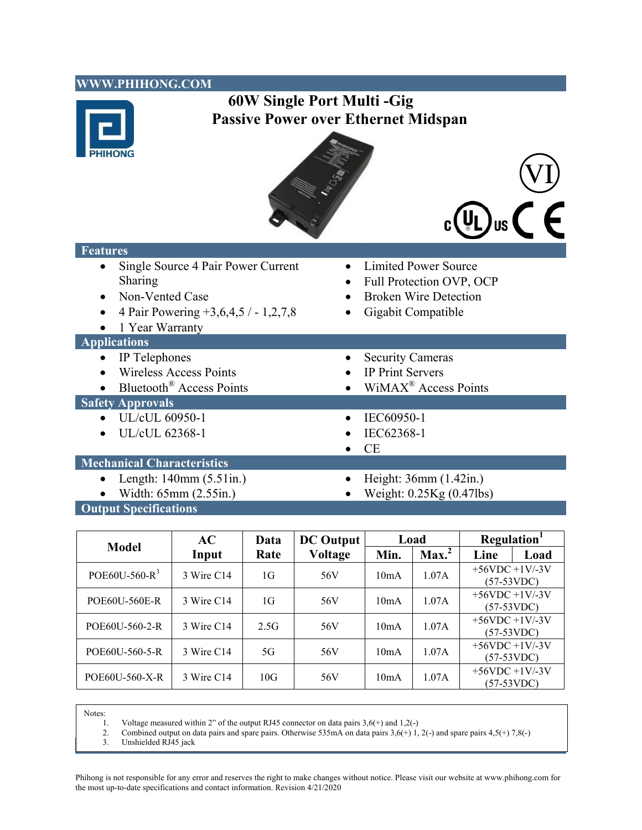| WWW.PHIHONG.COM                      |                                            |
|--------------------------------------|--------------------------------------------|
| 60W Single Port Multi - Gig          |                                            |
|                                      | <b>Passive Power over Ethernet Midspan</b> |
|                                      |                                            |
|                                      |                                            |
|                                      |                                            |
|                                      |                                            |
|                                      |                                            |
|                                      |                                            |
|                                      |                                            |
| <b>Features</b>                      |                                            |
| Single Source 4 Pair Power Current   | <b>Limited Power Source</b>                |
| Sharing                              | Full Protection OVP, OCP                   |
| Non-Vented Case                      | <b>Broken Wire Detection</b>               |
| 4 Pair Powering +3,6,4,5 / - 1,2,7,8 | Gigabit Compatible                         |
| 1 Year Warranty                      |                                            |
| <b>Applications</b>                  |                                            |
| IP Telephones                        | <b>Security Cameras</b>                    |
| <b>Wireless Access Points</b>        | IP Print Servers                           |
| Bluetooth <sup>®</sup> Access Points | WiMAX <sup>®</sup> Access Points           |
| <b>Safety Approvals</b>              |                                            |
| UL/cUL 60950-1                       | IEC60950-1                                 |
| UL/cUL 62368-1                       | IEC62368-1                                 |
|                                      | CE                                         |
| <b>Mechanical Characteristics</b>    |                                            |
| Length: $140mm(5.51in.)$             | Height: 36mm (1.42in.)                     |
| Width: 65mm (2.55in.)                | Weight: 0.25Kg (0.47lbs)                   |
| <b>Output Specifications</b>         |                                            |

| <b>Model</b>      | AC         | Data | <b>DC</b> Output | Load |                   | Regulation <sup>1</sup>         |      |
|-------------------|------------|------|------------------|------|-------------------|---------------------------------|------|
|                   | Input      | Rate | <b>Voltage</b>   | Min. | Max. <sup>2</sup> | Line                            | Load |
| POE60U-560- $R^3$ | 3 Wire C14 | 1G   | 56V              | 10mA | 1.07A             | $+56VDC +1V/3V$<br>$(57-53VDC)$ |      |
| POE60U-560E-R     | 3 Wire C14 | 1G   | 56V              | 10mA | 1.07A             | $+56VDC +1V-3V$<br>$(57-53VDC)$ |      |
| POE60U-560-2-R    | 3 Wire C14 | 2.5G | 56V              | 10mA | 1.07A             | $+56VDC +1V-3V$<br>$(57-53VDC)$ |      |
| POE60U-560-5-R    | 3 Wire C14 | 5G   | 56V              | 10mA | 1.07A             | $+56VDC +1V-3V$<br>$(57-53VDC)$ |      |
| POE60U-560-X-R    | 3 Wire C14 | 10G  | 56V              | 10mA | 1.07A             | $+56VDC +1V-3V$<br>(57-53VDC)   |      |

Notes:

- 1. Voltage measured within 2" of the output RJ45 connector on data pairs 3,6(+) and 1,2(-)
- 2. Combined output on data pairs and spare pairs. Otherwise 535mA on data pairs  $3,6(+)$  1, 2(-) and spare pairs  $4,5(+)$  7,8(-) 3. Unshielded RJ45 jack
- **POE60** Characteristics **POE60** Characteristics **1 POE60** Characteristics **1** *POE600* Characteristics **1** *POE600* **Characteristics <b>1** *POE6000* Characteristics **1** *POE6000* Characteristics **1** *POE6000* Chara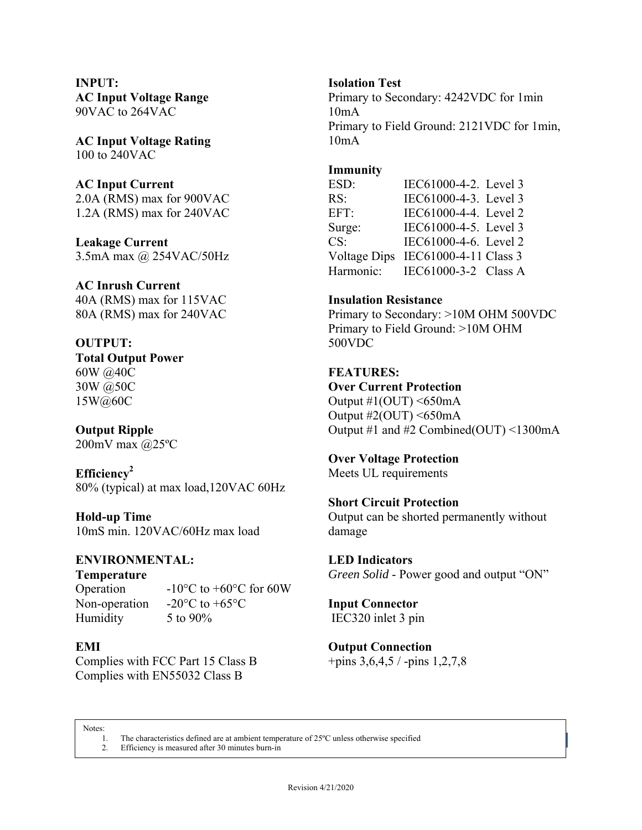**INPUT: AC Input Voltage Range**  90VAC to 264VAC

**AC Input Voltage Rating**  100 to 240VAC

### **AC Input Current**

2.0A (RMS) max for 900VAC 1.2A (RMS) max for 240VAC

**Leakage Current**  3.5mA max @ 254VAC/50Hz

**AC Inrush Current**  40A (RMS) max for 115VAC 80A (RMS) max for 240VAC

**OUTPUT: Total Output Power**  60W @40C 30W @50C 15W@60C

**Output Ripple**  200mV max @25ºC

**Efficiency2**  80% (typical) at max load,120VAC 60Hz

**Hold-up Time**  10mS min. 120VAC/60Hz max load

## **ENVIRONMENTAL:**

**Temperature** 

Humidity 5 to 90%

Operation  $-10^{\circ}$ C to +60°C for 60W Non-operation -20 $\degree$ C to +65 $\degree$ C

## **EMI**

Complies with FCC Part 15 Class B Complies with EN55032 Class B

### **Isolation Test**

Primary to Secondary: 4242VDC for 1min 10mA Primary to Field Ground: 2121VDC for 1min, 10mA

#### **Immunity**

ESD: IEC61000-4-2. Level 3 RS: **IEC61000-4-3.** Level 3 EFT: **IEC61000-4-4**. Level 2 Surge: IEC61000-4-5. Level 3 CS: IEC61000-4-6. Level 2 Voltage Dips IEC61000-4-11 Class 3 Harmonic: IEC61000-3-2 Class A

# **Insulation Resistance**

Primary to Secondary: >10M OHM 500VDC Primary to Field Ground: >10M OHM 500VDC

#### **FEATURES:**

**Over Current Protection** 

Output  $\#1$ (OUT) <650mA Output  $\#2\text{(OUT)} \leq 650 \text{mA}$ Output #1 and #2 Combined(OUT) <1300mA

**Over Voltage Protection**  Meets UL requirements

## **Short Circuit Protection**

Output can be shorted permanently without damage

**LED Indicators** *Green Solid* - Power good and output "ON"

**Input Connector**  IEC320 inlet 3 pin

**Output Connection**  +pins 3,6,4,5 / -pins 1,2,7,8

Notes:

1. The characteristics defined are at ambient temperature of 25<sup>°</sup>C unless otherwise specified

2. Efficiency is measured after 30 minutes burn-in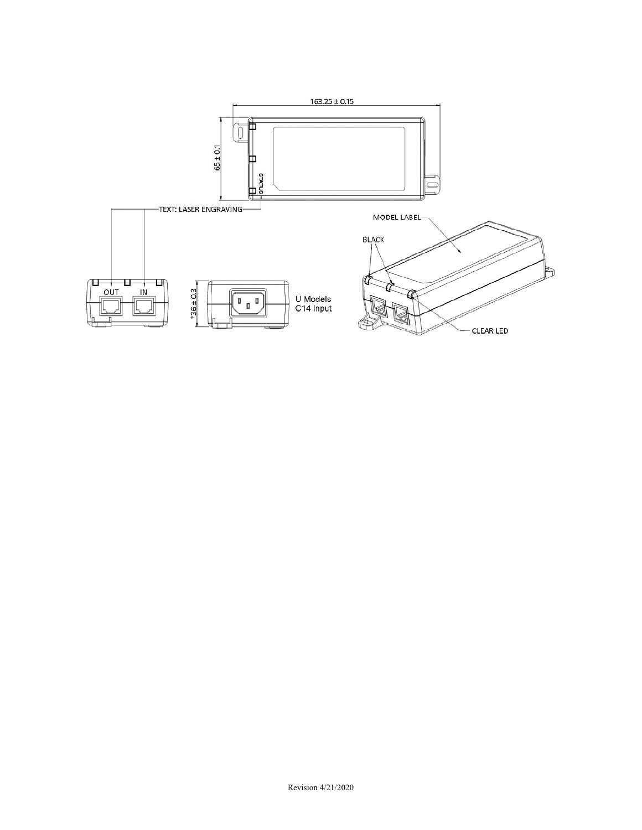